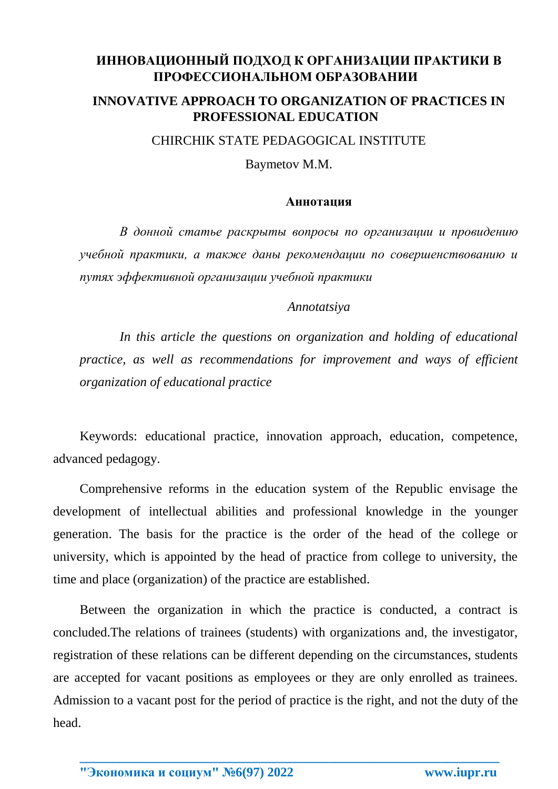## **ИННОВАЦИОННЫЙ ПОДХОД К ОРГАНИЗАЦИИ ПРАКТИКИ В ПРОФЕССИОНАЛЬНОМ ОБРАЗОВАНИИ**

## **INNOVATIVE APPROACH TO ORGANIZATION OF PRACTICES IN PROFESSIONAL EDUCATION**

CHIRCHIK STATE PEDAGOGICAL INSTITUTE

Baymetov M.M.

## **Аннотация**

*В донной статье раскрыты вопросы по организации и провидению учебной практики, а также даны рекомендации по совершенствованию и путях эффективной организации учебной практики*

## *Annotatsiya*

In this article the questions on organization and holding of educational *practice, as well as recommendations for improvement and ways of efficient organization of educational practice* 

Keywords: educational practice, innovation approach, education, competence, advanced pedagogy.

Comprehensive reforms in the education system of the Republic envisage the development of intellectual abilities and professional knowledge in the younger generation. The basis for the practice is the order of the head of the college or university, which is appointed by the head of practice from college to university, the time and place (organization) of the practice are established.

Between the organization in which the practice is conducted, a contract is concluded.The relations of trainees (students) with organizations and, the investigator, registration of these relations can be different depending on the circumstances, students are accepted for vacant positions as employees or they are only enrolled as trainees. Admission to a vacant post for the period of practice is the right, and not the duty of the head.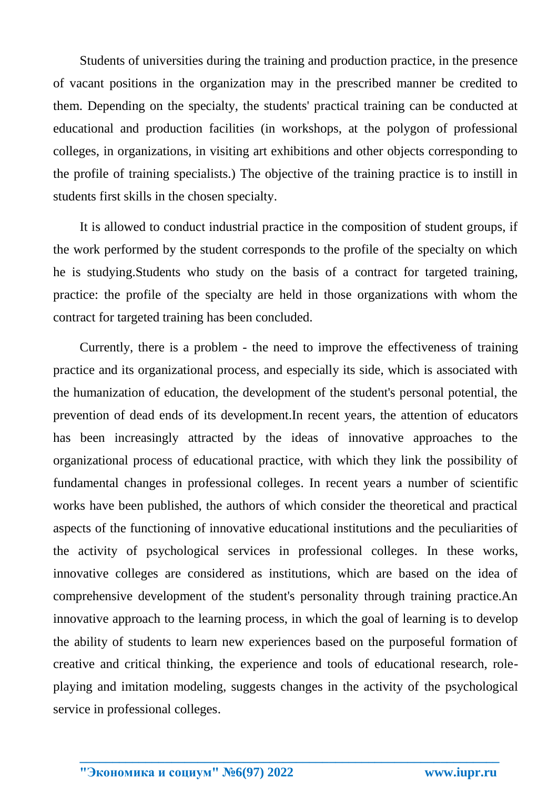Students of universities during the training and production practice, in the presence of vacant positions in the organization may in the prescribed manner be credited to them. Depending on the specialty, the students' practical training can be conducted at educational and production facilities (in workshops, at the polygon of professional colleges, in organizations, in visiting art exhibitions and other objects corresponding to the profile of training specialists.) The objective of the training practice is to instill in students first skills in the chosen specialty.

It is allowed to conduct industrial practice in the composition of student groups, if the work performed by the student corresponds to the profile of the specialty on which he is studying.Students who study on the basis of a contract for targeted training, practice: the profile of the specialty are held in those organizations with whom the contract for targeted training has been concluded.

Currently, there is a problem - the need to improve the effectiveness of training practice and its organizational process, and especially its side, which is associated with the humanization of education, the development of the student's personal potential, the prevention of dead ends of its development.In recent years, the attention of educators has been increasingly attracted by the ideas of innovative approaches to the organizational process of educational practice, with which they link the possibility of fundamental changes in professional colleges. In recent years a number of scientific works have been published, the authors of which consider the theoretical and practical aspects of the functioning of innovative educational institutions and the peculiarities of the activity of psychological services in professional colleges. In these works, innovative colleges are considered as institutions, which are based on the idea of comprehensive development of the student's personality through training practice.An innovative approach to the learning process, in which the goal of learning is to develop the ability of students to learn new experiences based on the purposeful formation of creative and critical thinking, the experience and tools of educational research, roleplaying and imitation modeling, suggests changes in the activity of the psychological service in professional colleges.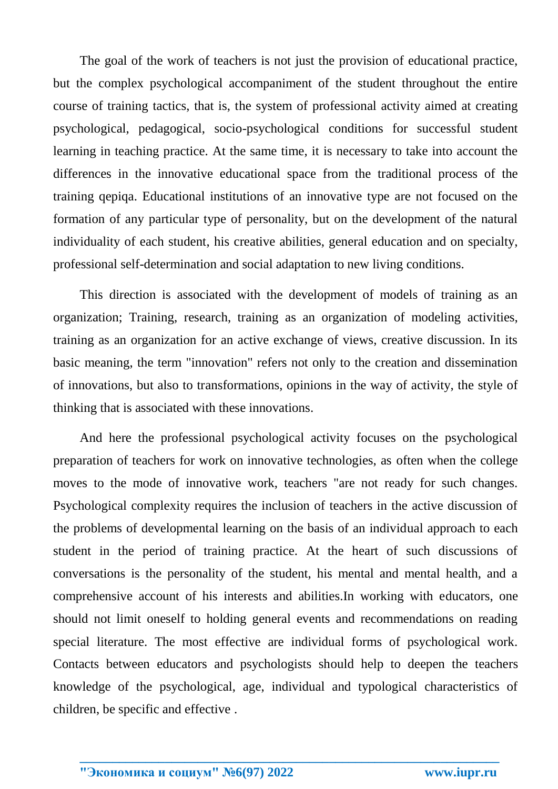The goal of the work of teachers is not just the provision of educational practice, but the complex psychological accompaniment of the student throughout the entire course of training tactics, that is, the system of professional activity aimed at creating psychological, pedagogical, socio-psychological conditions for successful student learning in teaching practice. At the same time, it is necessary to take into account the differences in the innovative educational space from the traditional process of the training qepiqa. Educational institutions of an innovative type are not focused on the formation of any particular type of personality, but on the development of the natural individuality of each student, his creative abilities, general education and on specialty, professional self-determination and social adaptation to new living conditions.

This direction is associated with the development of models of training as an organization; Training, research, training as an organization of modeling activities, training as an organization for an active exchange of views, creative discussion. In its basic meaning, the term "innovation" refers not only to the creation and dissemination of innovations, but also to transformations, opinions in the way of activity, the style of thinking that is associated with these innovations.

And here the professional psychological activity focuses on the psychological preparation of teachers for work on innovative technologies, as often when the college moves to the mode of innovative work, teachers "are not ready for such changes. Psychological complexity requires the inclusion of teachers in the active discussion of the problems of developmental learning on the basis of an individual approach to each student in the period of training practice. At the heart of such discussions of conversations is the personality of the student, his mental and mental health, and a comprehensive account of his interests and abilities.In working with educators, one should not limit oneself to holding general events and recommendations on reading special literature. The most effective are individual forms of psychological work. Contacts between educators and psychologists should help to deepen the teachers knowledge of the psychological, age, individual and typological characteristics of children, be specific and effective .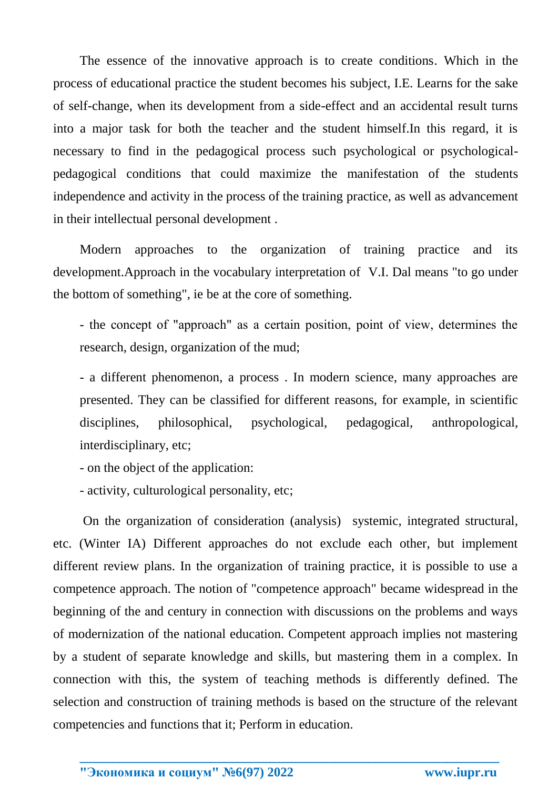The essence of the innovative approach is to create conditions. Which in the process of educational practice the student becomes his subject, I.E. Learns for the sake of self-change, when its development from a side-effect and an accidental result turns into a major task for both the teacher and the student himself.In this regard, it is necessary to find in the pedagogical process such psychological or psychologicalpedagogical conditions that could maximize the manifestation of the students independence and activity in the process of the training practice, as well as advancement in their intellectual personal development .

Modern approaches to the organization of training practice and its development.Approach in the vocabulary interpretation of V.I. Dal means "to go under the bottom of something", ie be at the core of something.

- the concept of "approach" as a certain position, рoint of view, determines the research, design, organization of the mud;

- a different phenomenon, a process . In modern science, many approaches are presented. They can be classified for different reasons, for example, in scientific disciplines, philosophical, psychological, pedagogical, anthropological, interdisciplinary, etc;

- on the object of the application:

- activity, culturological personality, etc;

On the organization of consideration (analysis) systemic, integrated structural, etc. (Winter IA) Different approaches do not exclude each other, but implement different review plans. In the organization of training practice, it is possible to use a competence approach. The notion of "competence approach" became widespread in the beginning of the аnd century in connection with discussions on the problems and ways of modernization of the national education. Competent approach implies not mastering by a student of separate knowledge and skills, but mastering them in a complex. In connection with this, the system of teaching methods is differently defined. The selection and construction of training methods is based on the structure of the relevant competencies and functions that it; Perform in education.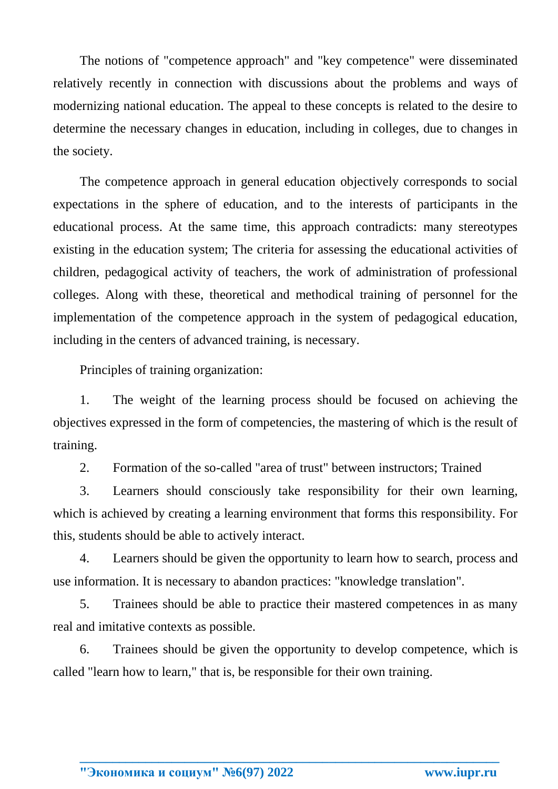The notions of "competence approach" and "key competence" were disseminated relatively recently in connection with discussions about the problems and ways of modernizing national education. The appeal to these concepts is related to the desire to determine the necessary changes in education, including in colleges, due to changes in the society.

The competence approach in general education objectively corresponds to social expectations in the sphere of education, and to the interests of participants in the educational process. At the same time, this approach contradicts: many stereotypes existing in the education system; The criteria for assessing the educational activities of children, pedagogical activity of teachers, the work of administration of professional colleges. Along with these, theoretical and methodical training of personnel for the implementation of the competence approach in the system of pedagogical education, including in the centers of advanced training, is necessary.

Principles of training organization:

1. The weight of the learning process should be focused on achieving the objectives expressed in the form of competencies, the mastering of which is the result of training.

2. Formation of the so-called "area of trust" between instructors; Trained

3. Learners should consciously take responsibility for their own learning, which is achieved by creating a learning environment that forms this responsibility. For this, students should be able to actively interact.

4. Learners should be given the opportunity to learn how to search, process and use information. It is necessary to abandon practices: "knowledge translation".

5. Trainees should be able to practice their mastered competences in as many real and imitative contexts as possible.

6. Trainees should be given the opportunity to develop competence, which is called "learn how to learn," that is, be responsible for their own training.